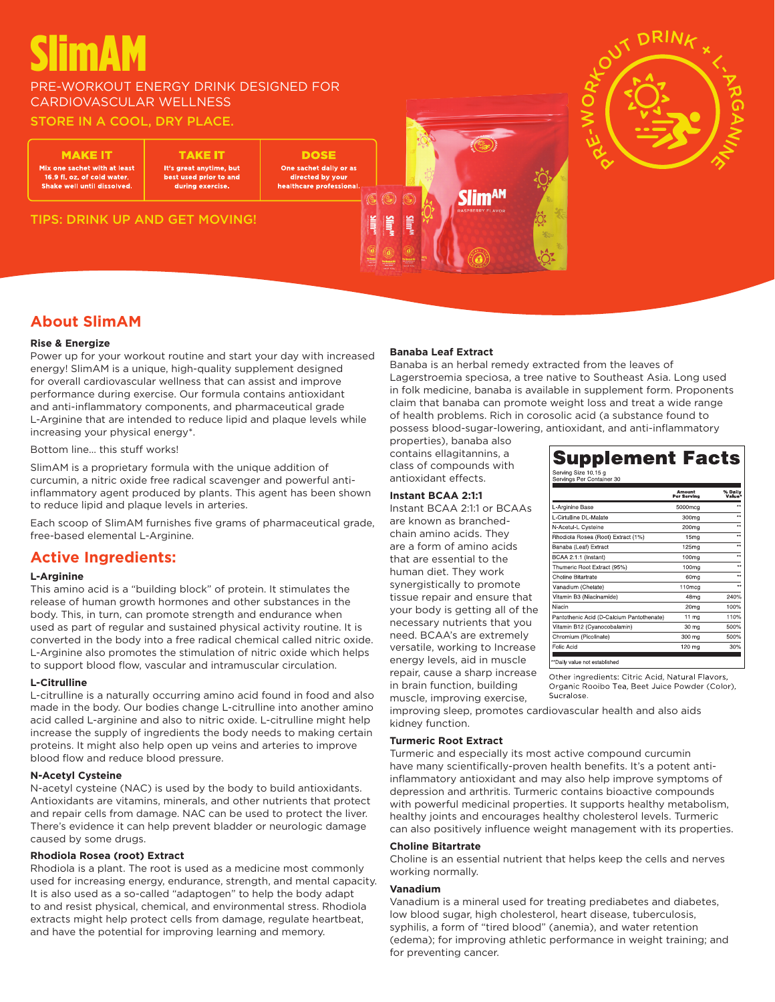# **SlimAM**

# PRE-WORKOUT ENERGY DRINK DESIGNED FOR CARDIOVASCULAR WELLNESS

# STORE IN A COOL, DRY PLACE.

MAKE |T

Mix one sachet with at least 16.9 fl. oz. of cold wate Shake well until dissolved.

TAKE IT It's great anytime, but best used prior to and during exercise.

**DOSE** One sachet daily or as directed by you healthcare professional.







# **About SlimAM**

#### **Rise & Energize**

Power up for your workout routine and start your day with increased energy! SlimAM is a unique, high-quality supplement designed for overall cardiovascular wellness that can assist and improve performance during exercise. Our formula contains antioxidant and anti-inflammatory components, and pharmaceutical grade L-Arginine that are intended to reduce lipid and plaque levels while increasing your physical energy\*.

Bottom line… this stuff works!

SlimAM is a proprietary formula with the unique addition of curcumin, a nitric oxide free radical scavenger and powerful antiinflammatory agent produced by plants. This agent has been shown to reduce lipid and plaque levels in arteries.

Each scoop of SlimAM furnishes five grams of pharmaceutical grade, free-based elemental L-Arginine.

# **Active Ingredients:**

#### **L-Arginine**

This amino acid is a "building block" of protein. It stimulates the release of human growth hormones and other substances in the body. This, in turn, can promote strength and endurance when used as part of regular and sustained physical activity routine. It is converted in the body into a free radical chemical called nitric oxide. L-Arginine also promotes the stimulation of nitric oxide which helps to support blood flow, vascular and intramuscular circulation.

#### **L-Citrulline**

L-citrulline is a naturally occurring amino acid found in food and also made in the body. Our bodies change L-citrulline into another amino acid called L-arginine and also to nitric oxide. L-citrulline might help increase the supply of ingredients the body needs to making certain proteins. It might also help open up veins and arteries to improve blood flow and reduce blood pressure.

#### **N-Acetyl Cysteine**

N-acetyl cysteine (NAC) is used by the body to build antioxidants. Antioxidants are vitamins, minerals, and other nutrients that protect and repair cells from damage. NAC can be used to protect the liver. There's evidence it can help prevent bladder or neurologic damage caused by some drugs.

## **Rhodiola Rosea (root) Extract**

Rhodiola is a plant. The root is used as a medicine most commonly used for increasing energy, endurance, strength, and mental capacity. It is also used as a so-called "adaptogen" to help the body adapt to and resist physical, chemical, and environmental stress. Rhodiola extracts might help protect cells from damage, regulate heartbeat, and have the potential for improving learning and memory.

#### **Banaba Leaf Extract**

Banaba is an herbal remedy extracted from the leaves of Lagerstroemia speciosa, a tree native to Southeast Asia. Long used in folk medicine, banaba is available in supplement form. Proponents claim that banaba can promote weight loss and treat a wide range of health problems. Rich in corosolic acid (a substance found to possess blood-sugar-lowering, antioxidant, and anti-inflammatory

properties), banaba also contains ellagitannins, a class of compounds with antioxidant effects.

## **Instant BCAA 2:1:1**

Instant BCAA 2:1:1 or BCAAs are known as branchedchain amino acids. They are a form of amino acids that are essential to the human diet. They work synergistically to promote tissue repair and ensure that your body is getting all of the necessary nutrients that you need. BCAA's are extremely versatile, working to Increase energy levels, aid in muscle repair, cause a sharp increase in brain function, building muscle, improving exercise,

| Serving Size 10.15 g<br>Servings Per Container 30 |                       |                         |
|---------------------------------------------------|-----------------------|-------------------------|
|                                                   | Amount<br>Per Serving | % Daily<br>Value*       |
| L-Arginine Base                                   | 5000mcg               | ××                      |
| L-Cirtulline DL-Malate                            | 300mg                 | $^{+}$                  |
| N-Acetul-L Cysteine                               | 200mg                 | $\overline{\mathbf{x}}$ |
| Rhodiola Rosea (Root) Extract (1%)                | 15 <sub>mg</sub>      | $\star\star$            |
| Banaba (Leaf) Extract                             | 125mg                 | ××                      |
| BCAA 2:1:1 (Instant)                              | 100mg                 | $\ddot{\phantom{a}}$    |
| Thumeric Root Extract (95%)                       | 100mg                 | ×٠                      |
| Choline Bitartrate                                | 60 <sub>mq</sub>      | د د                     |
| Vanadium (Chelate)                                | 110mcg                | 6A                      |
| Vitamin B3 (Niacinamide)                          | 48 <sub>mg</sub>      | 240%                    |
| Niacin                                            | 20 <sub>mq</sub>      | 100%                    |
| Pantothenic Acid (D-Calcium Pantothenate)         | 11 <sub>ma</sub>      | 110%                    |
| Vitamin B12 (Cyanocobalamin)                      | 30 mg                 | 500%                    |
| Chromium (Picolinate)                             | 300 mg                | 500%                    |
| Folic Acid                                        | 120 mg                | 30%                     |

Other ingredients: Citric Acid, Natural Flavors Organic Rooibo Tea, Beet Juice Powder (Color). Sucralose

improving sleep, promotes cardiovascular health and also aids kidney function.

#### **Turmeric Root Extract**

Turmeric and especially its most active compound curcumin have many scientifically-proven health benefits. It's a potent antiinflammatory antioxidant and may also help improve symptoms of depression and arthritis. Turmeric contains bioactive compounds with powerful medicinal properties. It supports healthy metabolism, healthy joints and encourages healthy cholesterol levels. Turmeric can also positively influence weight management with its properties.

#### **Choline Bitartrate**

Choline is an essential nutrient that helps keep the cells and nerves working normally.

#### **Vanadium**

Vanadium is a mineral used for treating prediabetes and diabetes, low blood sugar, high cholesterol, heart disease, tuberculosis, syphilis, a form of "tired blood" (anemia), and water retention (edema); for improving athletic performance in weight training; and for preventing cancer.